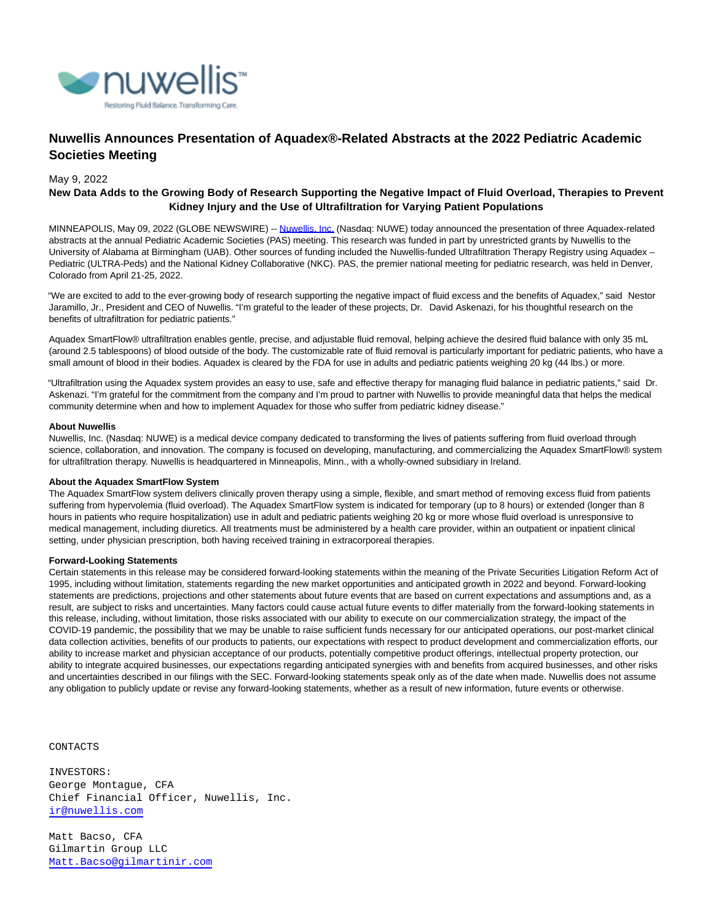

# **Nuwellis Announces Presentation of Aquadex®-Related Abstracts at the 2022 Pediatric Academic Societies Meeting**

## May 9, 2022

# **New Data Adds to the Growing Body of Research Supporting the Negative Impact of Fluid Overload, Therapies to Prevent Kidney Injury and the Use of Ultrafiltration for Varying Patient Populations**

MINNEAPOLIS, May 09, 2022 (GLOBE NEWSWIRE) -[- Nuwellis, Inc. \(](https://www.globenewswire.com/Tracker?data=xic4n1tIsY7vtnnjjJed82hOXsnEHXuYRXx0uV-PlwHjqH_h_w-NIz9aLbQ2Yq00pWsX_KoDRDwrbvpGTEo4sQ==)Nasdaq: NUWE) today announced the presentation of three Aquadex-related abstracts at the annual Pediatric Academic Societies (PAS) meeting. This research was funded in part by unrestricted grants by Nuwellis to the University of Alabama at Birmingham (UAB). Other sources of funding included the Nuwellis-funded Ultrafiltration Therapy Registry using Aquadex – Pediatric (ULTRA-Peds) and the National Kidney Collaborative (NKC). PAS, the premier national meeting for pediatric research, was held in Denver, Colorado from April 21-25, 2022.

"We are excited to add to the ever-growing body of research supporting the negative impact of fluid excess and the benefits of Aquadex," said Nestor Jaramillo, Jr., President and CEO of Nuwellis. "I'm grateful to the leader of these projects, Dr. David Askenazi, for his thoughtful research on the benefits of ultrafiltration for pediatric patients."

Aquadex SmartFlow® ultrafiltration enables gentle, precise, and adjustable fluid removal, helping achieve the desired fluid balance with only 35 mL (around 2.5 tablespoons) of blood outside of the body. The customizable rate of fluid removal is particularly important for pediatric patients, who have a small amount of blood in their bodies. Aquadex is cleared by the FDA for use in adults and pediatric patients weighing 20 kg (44 lbs.) or more.

"Ultrafiltration using the Aquadex system provides an easy to use, safe and effective therapy for managing fluid balance in pediatric patients," said Dr. Askenazi. "I'm grateful for the commitment from the company and I'm proud to partner with Nuwellis to provide meaningful data that helps the medical community determine when and how to implement Aquadex for those who suffer from pediatric kidney disease."

#### **About Nuwellis**

Nuwellis, Inc. (Nasdaq: NUWE) is a medical device company dedicated to transforming the lives of patients suffering from fluid overload through science, collaboration, and innovation. The company is focused on developing, manufacturing, and commercializing the Aquadex SmartFlow® system for ultrafiltration therapy. Nuwellis is headquartered in Minneapolis, Minn., with a wholly-owned subsidiary in Ireland.

### **About the Aquadex SmartFlow System**

The Aquadex SmartFlow system delivers clinically proven therapy using a simple, flexible, and smart method of removing excess fluid from patients suffering from hypervolemia (fluid overload). The Aquadex SmartFlow system is indicated for temporary (up to 8 hours) or extended (longer than 8 hours in patients who require hospitalization) use in adult and pediatric patients weighing 20 kg or more whose fluid overload is unresponsive to medical management, including diuretics. All treatments must be administered by a health care provider, within an outpatient or inpatient clinical setting, under physician prescription, both having received training in extracorporeal therapies.

#### **Forward-Looking Statements**

Certain statements in this release may be considered forward-looking statements within the meaning of the Private Securities Litigation Reform Act of 1995, including without limitation, statements regarding the new market opportunities and anticipated growth in 2022 and beyond. Forward-looking statements are predictions, projections and other statements about future events that are based on current expectations and assumptions and, as a result, are subject to risks and uncertainties. Many factors could cause actual future events to differ materially from the forward-looking statements in this release, including, without limitation, those risks associated with our ability to execute on our commercialization strategy, the impact of the COVID-19 pandemic, the possibility that we may be unable to raise sufficient funds necessary for our anticipated operations, our post-market clinical data collection activities, benefits of our products to patients, our expectations with respect to product development and commercialization efforts, our ability to increase market and physician acceptance of our products, potentially competitive product offerings, intellectual property protection, our ability to integrate acquired businesses, our expectations regarding anticipated synergies with and benefits from acquired businesses, and other risks and uncertainties described in our filings with the SEC. Forward-looking statements speak only as of the date when made. Nuwellis does not assume any obligation to publicly update or revise any forward-looking statements, whether as a result of new information, future events or otherwise.

CONTACTS

INVESTORS: George Montague, CFA Chief Financial Officer, Nuwellis, Inc. [ir@nuwellis.com](mailto:ir@nuwellis.com)

Matt Bacso, CFA Gilmartin Group LLC [Matt.Bacso@gilmartinir.com](mailto:Matt.Bacso@gilmartinir.com)